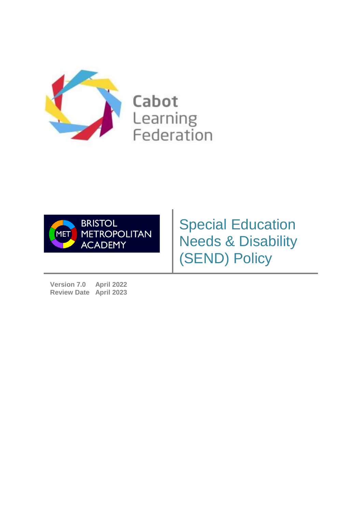

Cabot Learning Federation



Special Education Needs & Disability (SEND) Policy

**Version 7.0 April 2022 Review Date April 2023**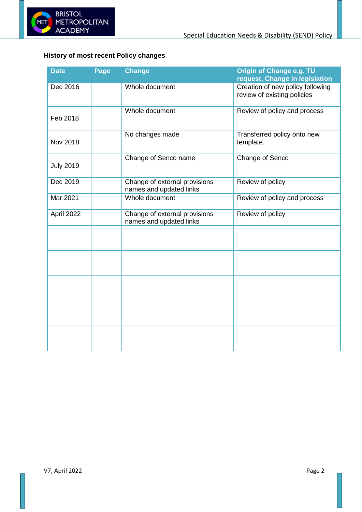

# <span id="page-1-0"></span>**History of most recent Policy changes**

| <b>Date</b>      | Page | <b>Change</b>                                            | Origin of Change e.g. TU<br>request, Change in legislation      |
|------------------|------|----------------------------------------------------------|-----------------------------------------------------------------|
| Dec 2016         |      | Whole document                                           | Creation of new policy following<br>review of existing policies |
| Feb 2018         |      | Whole document                                           | Review of policy and process                                    |
| Nov 2018         |      | No changes made                                          | Transferred policy onto new<br>template.                        |
| <b>July 2019</b> |      | Change of Senco name                                     | Change of Senco                                                 |
| Dec 2019         |      | Change of external provisions<br>names and updated links | Review of policy                                                |
| Mar 2021         |      | Whole document                                           | Review of policy and process                                    |
| April 2022       |      | Change of external provisions<br>names and updated links | Review of policy                                                |
|                  |      |                                                          |                                                                 |
|                  |      |                                                          |                                                                 |
|                  |      |                                                          |                                                                 |
|                  |      |                                                          |                                                                 |
|                  |      |                                                          |                                                                 |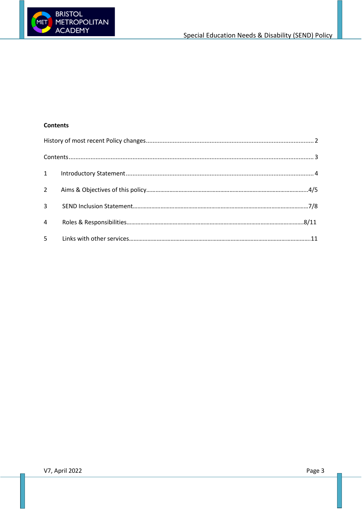

#### <span id="page-2-0"></span>**Contents**

| $4\overline{ }$ |  |  |  |  |  |
|-----------------|--|--|--|--|--|
|                 |  |  |  |  |  |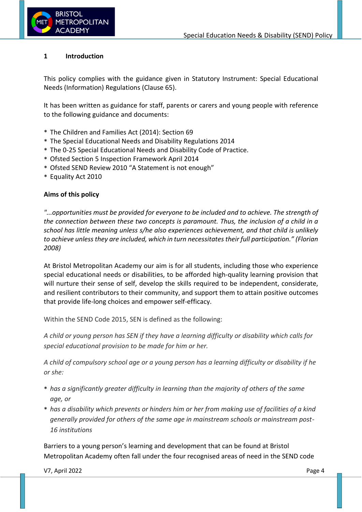

#### **1 Introduction**

This policy complies with the guidance given in Statutory Instrument: Special Educational Needs (Information) Regulations (Clause 65).

It has been written as guidance for staff, parents or carers and young people with reference to the following guidance and documents:

- \* The Children and Families Act (2014): Section 69
- \* The Special Educational Needs and Disability Regulations 2014
- \* The 0-25 Special Educational Needs and Disability Code of Practice.
- \* Ofsted Section 5 Inspection Framework April 2014
- \* Ofsted SEND Review 2010 "A Statement is not enough"
- \* Equality Act 2010

#### **Aims of this policy**

*"...opportunities must be provided for everyone to be included and to achieve. The strength of the connection between these two concepts is paramount. Thus, the inclusion of a child in a school has little meaning unless s/he also experiences achievement, and that child is unlikely to achieve unlessthey are included, which in turn necessitates their full participation." (Florian 2008)*

At Bristol Metropolitan Academy our aim is for all students, including those who experience special educational needs or disabilities, to be afforded high-quality learning provision that will nurture their sense of self, develop the skills required to be independent, considerate, and resilient contributors to their community, and support them to attain positive outcomes that provide life-long choices and empower self-efficacy.

Within the SEND Code 2015, SEN is defined as the following:

*A child or young person has SEN if they have a learning difficulty or disability which calls for special educational provision to be made for him or her.*

*A child of compulsory school age or a young person has a learning difficulty or disability if he or she:*

- \* *has a significantly greater difficulty in learning than the majority of others of the same age, or*
- \* *has a disability which prevents or hinders him or her from making use of facilities of a kind generally provided for others of the same age in mainstream schools or mainstream post-16 institutions*

Barriers to a young person's learning and development that can be found at Bristol Metropolitan Academy often fall under the four recognised areas of need in the SEND code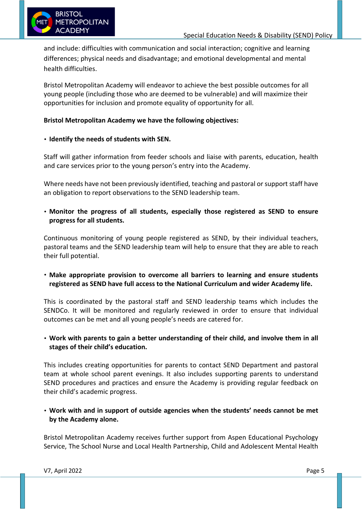

and include: difficulties with communication and social interaction; cognitive and learning differences; physical needs and disadvantage; and emotional developmental and mental health difficulties.

Bristol Metropolitan Academy will endeavor to achieve the best possible outcomes for all young people (including those who are deemed to be vulnerable) and will maximize their opportunities for inclusion and promote equality of opportunity for all.

## **Bristol Metropolitan Academy we have the following objectives:**

## • **Identify the needs of students with SEN.**

Staff will gather information from feeder schools and liaise with parents, education, health and care services prior to the young person's entry into the Academy.

Where needs have not been previously identified, teaching and pastoral or support staff have an obligation to report observations to the SEND leadership team.

• **Monitor the progress of all students, especially those registered as SEND to ensure progress for all students.**

Continuous monitoring of young people registered as SEND, by their individual teachers, pastoral teams and the SEND leadership team will help to ensure that they are able to reach their full potential.

• **Make appropriate provision to overcome all barriers to learning and ensure students registered as SEND have full access to the National Curriculum and wider Academy life.**

This is coordinated by the pastoral staff and SEND leadership teams which includes the SENDCo. It will be monitored and regularly reviewed in order to ensure that individual outcomes can be met and all young people's needs are catered for.

• **Work with parents to gain a better understanding of their child, and involve them in all stages of their child's education.**

This includes creating opportunities for parents to contact SEND Department and pastoral team at whole school parent evenings. It also includes supporting parents to understand SEND procedures and practices and ensure the Academy is providing regular feedback on their child's academic progress.

• **Work with and in support of outside agencies when the students' needs cannot be met by the Academy alone.**

Bristol Metropolitan Academy receives further support from Aspen Educational Psychology Service, The School Nurse and Local Health Partnership, Child and Adolescent Mental Health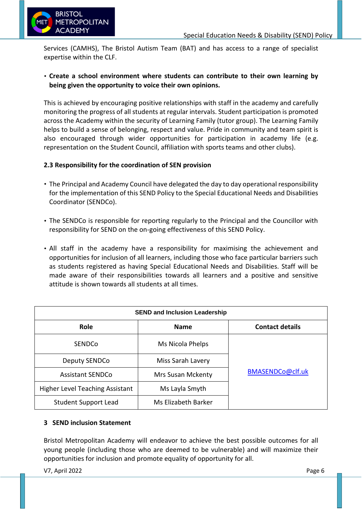

Services (CAMHS), The Bristol Autism Team (BAT) and has access to a range of specialist expertise within the CLF.

## • **Create a school environment where students can contribute to their own learning by being given the opportunity to voice their own opinions.**

This is achieved by encouraging positive relationships with staff in the academy and carefully monitoring the progress of all students at regular intervals. Student participation is promoted across the Academy within the security of Learning Family (tutor group). The Learning Family helps to build a sense of belonging, respect and value. Pride in community and team spirit is also encouraged through wider opportunities for participation in academy life (e.g. representation on the Student Council, affiliation with sports teams and other clubs).

## **2.3 Responsibility for the coordination of SEN provision**

- The Principal and Academy Council have delegated the day to day operational responsibility for the implementation of this SEND Policy to the Special Educational Needs and Disabilities Coordinator (SENDCo).
- The SENDCo is responsible for reporting regularly to the Principal and the Councillor with responsibility for SEND on the on-going effectiveness of this SEND Policy.
- All staff in the academy have a responsibility for maximising the achievement and opportunities for inclusion of all learners, including those who face particular barriers such as students registered as having Special Educational Needs and Disabilities. Staff will be made aware of their responsibilities towards all learners and a positive and sensitive attitude is shown towards all students at all times.

| <b>SEND and Inclusion Leadership</b>   |                          |                        |  |  |  |  |
|----------------------------------------|--------------------------|------------------------|--|--|--|--|
| Role                                   | <b>Name</b>              | <b>Contact details</b> |  |  |  |  |
| <b>SENDCo</b>                          | Ms Nicola Phelps         |                        |  |  |  |  |
| Deputy SENDCo                          | Miss Sarah Lavery        | BMASENDCo@clf.uk       |  |  |  |  |
| <b>Assistant SENDCo</b>                | <b>Mrs Susan Mckenty</b> |                        |  |  |  |  |
| <b>Higher Level Teaching Assistant</b> | Ms Layla Smyth           |                        |  |  |  |  |
| <b>Student Support Lead</b>            | Ms Elizabeth Barker      |                        |  |  |  |  |

## **3 SEND inclusion Statement**

Bristol Metropolitan Academy will endeavor to achieve the best possible outcomes for all young people (including those who are deemed to be vulnerable) and will maximize their opportunities for inclusion and promote equality of opportunity for all.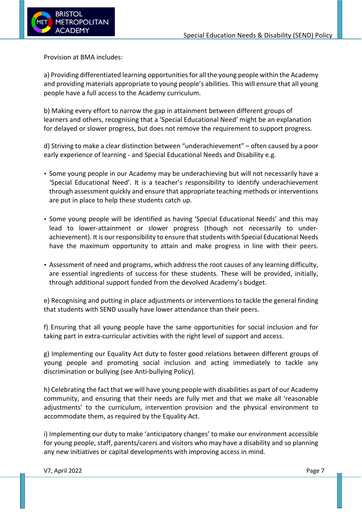

Provision at BMA includes:

a) Providing differentiated learning opportunities for all the young people within the Academy and providing materials appropriate to young people's abilities. This will ensure that all young people have a full access to the Academy curriculum.

b) Making every effort to narrow the gap in attainment between different groups of learners and others, recognising that a 'Special Educational Need' might be an explanation for delayed or slower progress, but does not remove the requirement to support progress.

d) Striving to make a clear distinction between "underachievement" – often caused by a poor early experience of learning - and Special Educational Needs and Disability e.g.

- Some young people in our Academy may be underachieving but will not necessarily have a 'Special Educational Need'. It is a teacher's responsibility to identify underachievement through assessment quickly and ensure that appropriate teaching methods or interventions are put in place to help these students catch up.
- Some young people will be identified as having 'Special Educational Needs' and this may lead to lower-attainment or slower progress (though not necessarily to underachievement). It is our responsibility to ensure that students with Special Educational Needs have the maximum opportunity to attain and make progress in line with their peers.
- Assessment of need and programs, which address the root causes of any learning difficulty, are essential ingredients of success for these students. These will be provided, initially, through additional support funded from the devolved Academy's budget.

e) Recognising and putting in place adjustments or interventions to tackle the general finding that students with SEND usually have lower attendance than their peers.

f) Ensuring that all young people have the same opportunities for social inclusion and for taking part in extra-curricular activities with the right level of support and access.

g) Implementing our Equality Act duty to foster good relations between different groups of young people and promoting social inclusion and acting immediately to tackle any discrimination or bullying (see Anti-bullying Policy).

h) Celebrating the fact that we will have young people with disabilities as part of our Academy community, and ensuring that their needs are fully met and that we make all 'reasonable adjustments' to the curriculum, intervention provision and the physical environment to accommodate them, as required by the Equality Act.

i) Implementing our duty to make 'anticipatory changes' to make our environment accessible for young people, staff, parents/carers and visitors who may have a disability and so planning any new initiatives or capital developments with improving access in mind.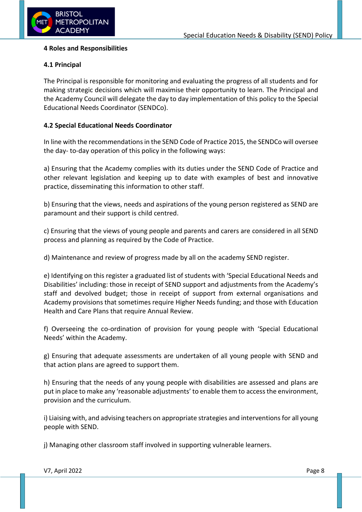

#### **4 Roles and Responsibilities**

## **4.1 Principal**

The Principal is responsible for monitoring and evaluating the progress of all students and for making strategic decisions which will maximise their opportunity to learn. The Principal and the Academy Council will delegate the day to day implementation of this policy to the Special Educational Needs Coordinator (SENDCo).

## **4.2 Special Educational Needs Coordinator**

In line with the recommendations in the SEND Code of Practice 2015, the SENDCo will oversee the day- to-day operation of this policy in the following ways:

a) Ensuring that the Academy complies with its duties under the SEND Code of Practice and other relevant legislation and keeping up to date with examples of best and innovative practice, disseminating this information to other staff.

b) Ensuring that the views, needs and aspirations of the young person registered as SEND are paramount and their support is child centred.

c) Ensuring that the views of young people and parents and carers are considered in all SEND process and planning as required by the Code of Practice.

d) Maintenance and review of progress made by all on the academy SEND register.

e) Identifying on this register a graduated list of students with 'Special Educational Needs and Disabilities' including: those in receipt of SEND support and adjustments from the Academy's staff and devolved budget; those in receipt of support from external organisations and Academy provisions that sometimes require Higher Needs funding; and those with Education Health and Care Plans that require Annual Review.

f) Overseeing the co-ordination of provision for young people with 'Special Educational Needs' within the Academy.

g) Ensuring that adequate assessments are undertaken of all young people with SEND and that action plans are agreed to support them.

h) Ensuring that the needs of any young people with disabilities are assessed and plans are put in place to make any 'reasonable adjustments' to enable them to access the environment, provision and the curriculum.

i) Liaising with, and advising teachers on appropriate strategies and interventions for all young people with SEND.

j) Managing other classroom staff involved in supporting vulnerable learners.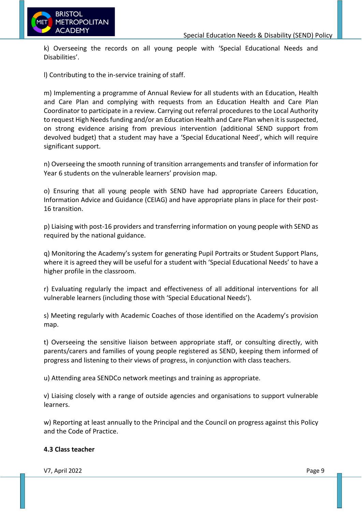

k) Overseeing the records on all young people with 'Special Educational Needs and Disabilities'.

l) Contributing to the in-service training of staff.

m) Implementing a programme of Annual Review for all students with an Education, Health and Care Plan and complying with requests from an Education Health and Care Plan Coordinator to participate in a review. Carrying out referral procedures to the Local Authority to request High Needs funding and/or an Education Health and Care Plan when it is suspected, on strong evidence arising from previous intervention (additional SEND support from devolved budget) that a student may have a 'Special Educational Need', which will require significant support.

n) Overseeing the smooth running of transition arrangements and transfer of information for Year 6 students on the vulnerable learners' provision map.

o) Ensuring that all young people with SEND have had appropriate Careers Education, Information Advice and Guidance (CEIAG) and have appropriate plans in place for their post-16 transition.

p) Liaising with post-16 providers and transferring information on young people with SEND as required by the national guidance.

q) Monitoring the Academy's system for generating Pupil Portraits or Student Support Plans, where it is agreed they will be useful for a student with 'Special Educational Needs' to have a higher profile in the classroom.

r) Evaluating regularly the impact and effectiveness of all additional interventions for all vulnerable learners (including those with 'Special Educational Needs').

s) Meeting regularly with Academic Coaches of those identified on the Academy's provision map.

t) Overseeing the sensitive liaison between appropriate staff, or consulting directly, with parents/carers and families of young people registered as SEND, keeping them informed of progress and listening to their views of progress, in conjunction with class teachers.

u) Attending area SENDCo network meetings and training as appropriate.

v) Liaising closely with a range of outside agencies and organisations to support vulnerable learners.

w) Reporting at least annually to the Principal and the Council on progress against this Policy and the Code of Practice.

#### **4.3 Class teacher**

V7, April 2022 Page 9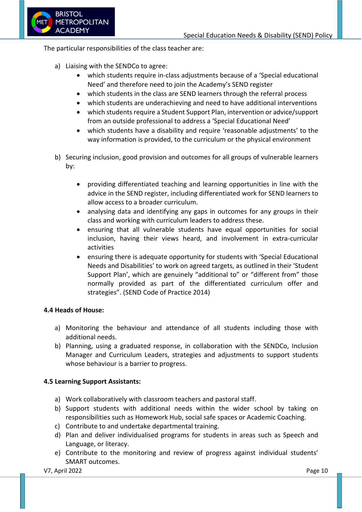

The particular responsibilities of the class teacher are:

- a) Liaising with the SENDCo to agree:
	- which students require in-class adjustments because of a 'Special educational Need' and therefore need to join the Academy's SEND register
	- which students in the class are SEND learners through the referral process
	- which students are underachieving and need to have additional interventions
	- which students require a Student Support Plan, intervention or advice/support from an outside professional to address a 'Special Educational Need'
	- which students have a disability and require 'reasonable adjustments' to the way information is provided, to the curriculum or the physical environment
- b) Securing inclusion, good provision and outcomes for all groups of vulnerable learners by:
	- providing differentiated teaching and learning opportunities in line with the advice in the SEND register, including differentiated work for SEND learners to allow access to a broader curriculum.
	- analysing data and identifying any gaps in outcomes for any groups in their class and working with curriculum leaders to address these.
	- ensuring that all vulnerable students have equal opportunities for social inclusion, having their views heard, and involvement in extra-curricular activities
	- ensuring there is adequate opportunity for students with 'Special Educational Needs and Disabilities' to work on agreed targets, as outlined in their 'Student Support Plan', which are genuinely "additional to" or "different from" those normally provided as part of the differentiated curriculum offer and strategies". (SEND Code of Practice 2014)

## **4.4 Heads of House:**

- a) Monitoring the behaviour and attendance of all students including those with additional needs.
- b) Planning, using a graduated response, in collaboration with the SENDCo, Inclusion Manager and Curriculum Leaders, strategies and adjustments to support students whose behaviour is a barrier to progress.

## **4.5 Learning Support Assistants:**

- a) Work collaboratively with classroom teachers and pastoral staff.
- b) Support students with additional needs within the wider school by taking on responsibilities such as Homework Hub, social safe spaces or Academic Coaching.
- c) Contribute to and undertake departmental training.
- d) Plan and deliver individualised programs for students in areas such as Speech and Language, or literacy.
- e) Contribute to the monitoring and review of progress against individual students' SMART outcomes.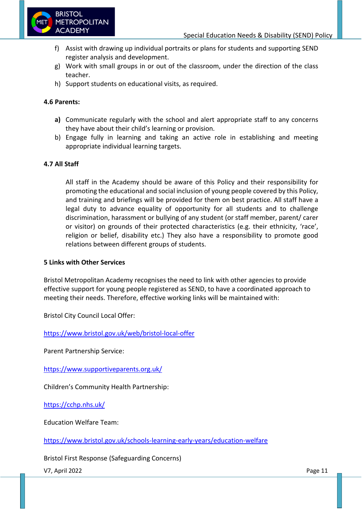

- f) Assist with drawing up individual portraits or plans for students and supporting SEND register analysis and development.
- g) Work with small groups in or out of the classroom, under the direction of the class teacher.
- h) Support students on educational visits, as required.

## **4.6 Parents:**

- **a)** Communicate regularly with the school and alert appropriate staff to any concerns they have about their child's learning or provision.
- b) Engage fully in learning and taking an active role in establishing and meeting appropriate individual learning targets.

## **4.7 All Staff**

All staff in the Academy should be aware of this Policy and their responsibility for promoting the educational and social inclusion of young people covered by this Policy, and training and briefings will be provided for them on best practice. All staff have a legal duty to advance equality of opportunity for all students and to challenge discrimination, harassment or bullying of any student (or staff member, parent/ carer or visitor) on grounds of their protected characteristics (e.g. their ethnicity, 'race', religion or belief, disability etc.) They also have a responsibility to promote good relations between different groups of students.

#### **5 Links with Other Services**

Bristol Metropolitan Academy recognises the need to link with other agencies to provide effective support for young people registered as SEND, to have a coordinated approach to meeting their needs. Therefore, effective working links will be maintained with:

Bristol City Council Local Offer:

<https://www.bristol.gov.uk/web/bristol-local-offer>

Parent Partnership Service:

<https://www.supportiveparents.org.uk/>

Children's Community Health Partnership:

<https://cchp.nhs.uk/>

Education Welfare Team:

<https://www.bristol.gov.uk/schools-learning-early-years/education-welfare>

Bristol First Response (Safeguarding Concerns)

V7, April 2022 Page 11